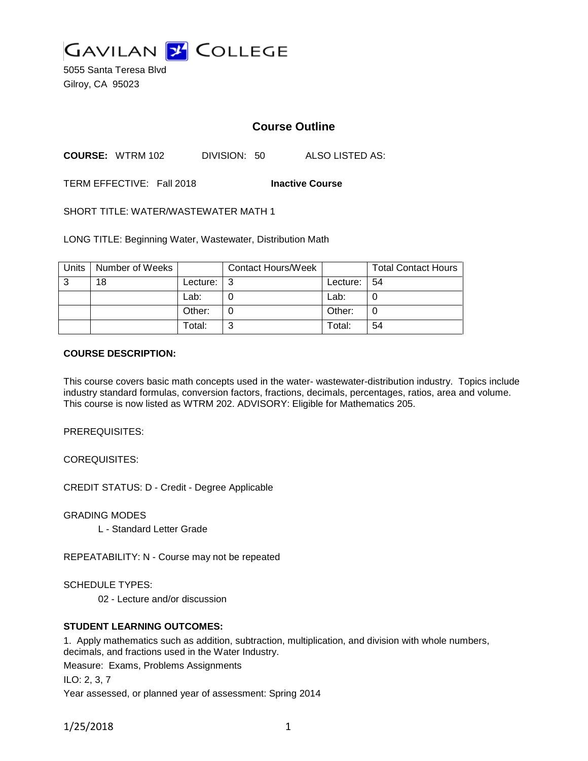

5055 Santa Teresa Blvd Gilroy, CA 95023

# **Course Outline**

**COURSE:** WTRM 102 DIVISION: 50 ALSO LISTED AS:

TERM EFFECTIVE: Fall 2018 **Inactive Course**

SHORT TITLE: WATER/WASTEWATER MATH 1

LONG TITLE: Beginning Water, Wastewater, Distribution Math

| Units | Number of Weeks |          | <b>Contact Hours/Week</b> |          | <b>Total Contact Hours</b> |
|-------|-----------------|----------|---------------------------|----------|----------------------------|
| 3     | 18              | Lecture: | -3                        | Lecture: | l 54                       |
|       |                 | Lab:     |                           | Lab:     | U                          |
|       |                 | Other:   |                           | Other:   | 0                          |
|       |                 | Total:   | ົ                         | Total:   | 54                         |

#### **COURSE DESCRIPTION:**

This course covers basic math concepts used in the water- wastewater-distribution industry. Topics include industry standard formulas, conversion factors, fractions, decimals, percentages, ratios, area and volume. This course is now listed as WTRM 202. ADVISORY: Eligible for Mathematics 205.

PREREQUISITES:

COREQUISITES:

CREDIT STATUS: D - Credit - Degree Applicable

GRADING MODES

L - Standard Letter Grade

REPEATABILITY: N - Course may not be repeated

SCHEDULE TYPES:

02 - Lecture and/or discussion

## **STUDENT LEARNING OUTCOMES:**

1. Apply mathematics such as addition, subtraction, multiplication, and division with whole numbers, decimals, and fractions used in the Water Industry.

Measure: Exams, Problems Assignments

ILO: 2, 3, 7

Year assessed, or planned year of assessment: Spring 2014

1/25/2018 1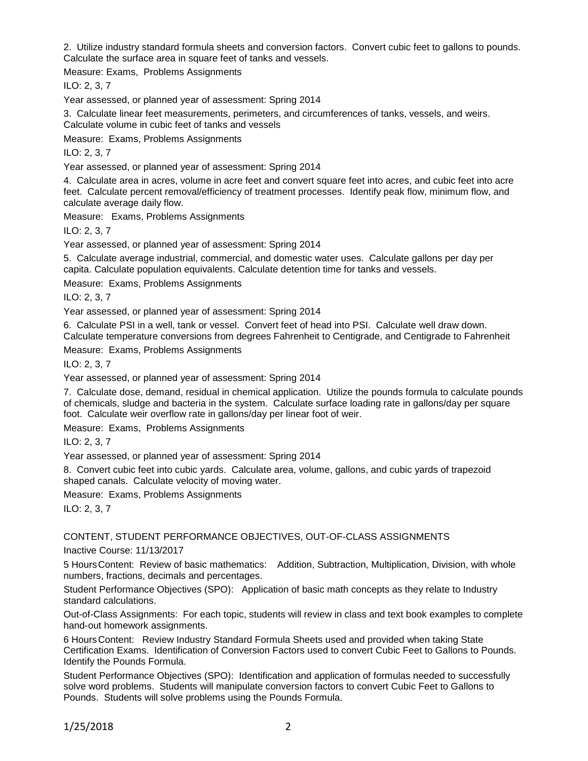2. Utilize industry standard formula sheets and conversion factors. Convert cubic feet to gallons to pounds. Calculate the surface area in square feet of tanks and vessels.

Measure: Exams, Problems Assignments

ILO: 2, 3, 7

Year assessed, or planned year of assessment: Spring 2014

3. Calculate linear feet measurements, perimeters, and circumferences of tanks, vessels, and weirs. Calculate volume in cubic feet of tanks and vessels

Measure: Exams, Problems Assignments

ILO: 2, 3, 7

Year assessed, or planned year of assessment: Spring 2014

4. Calculate area in acres, volume in acre feet and convert square feet into acres, and cubic feet into acre feet. Calculate percent removal/efficiency of treatment processes. Identify peak flow, minimum flow, and calculate average daily flow.

Measure: Exams, Problems Assignments

ILO: 2, 3, 7

Year assessed, or planned year of assessment: Spring 2014

5. Calculate average industrial, commercial, and domestic water uses. Calculate gallons per day per capita. Calculate population equivalents. Calculate detention time for tanks and vessels.

Measure: Exams, Problems Assignments

ILO: 2, 3, 7

Year assessed, or planned year of assessment: Spring 2014

6. Calculate PSI in a well, tank or vessel. Convert feet of head into PSI. Calculate well draw down. Calculate temperature conversions from degrees Fahrenheit to Centigrade, and Centigrade to Fahrenheit

Measure: Exams, Problems Assignments

ILO: 2, 3, 7

Year assessed, or planned year of assessment: Spring 2014

7. Calculate dose, demand, residual in chemical application. Utilize the pounds formula to calculate pounds of chemicals, sludge and bacteria in the system. Calculate surface loading rate in gallons/day per square foot. Calculate weir overflow rate in gallons/day per linear foot of weir.

Measure: Exams, Problems Assignments

ILO: 2, 3, 7

Year assessed, or planned year of assessment: Spring 2014

8. Convert cubic feet into cubic yards. Calculate area, volume, gallons, and cubic yards of trapezoid shaped canals. Calculate velocity of moving water.

Measure: Exams, Problems Assignments

ILO: 2, 3, 7

CONTENT, STUDENT PERFORMANCE OBJECTIVES, OUT-OF-CLASS ASSIGNMENTS

Inactive Course: 11/13/2017

5 HoursContent: Review of basic mathematics: Addition, Subtraction, Multiplication, Division, with whole numbers, fractions, decimals and percentages.

Student Performance Objectives (SPO): Application of basic math concepts as they relate to Industry standard calculations.

Out-of-Class Assignments: For each topic, students will review in class and text book examples to complete hand-out homework assignments.

6 HoursContent: Review Industry Standard Formula Sheets used and provided when taking State Certification Exams. Identification of Conversion Factors used to convert Cubic Feet to Gallons to Pounds. Identify the Pounds Formula.

Student Performance Objectives (SPO): Identification and application of formulas needed to successfully solve word problems. Students will manipulate conversion factors to convert Cubic Feet to Gallons to Pounds. Students will solve problems using the Pounds Formula.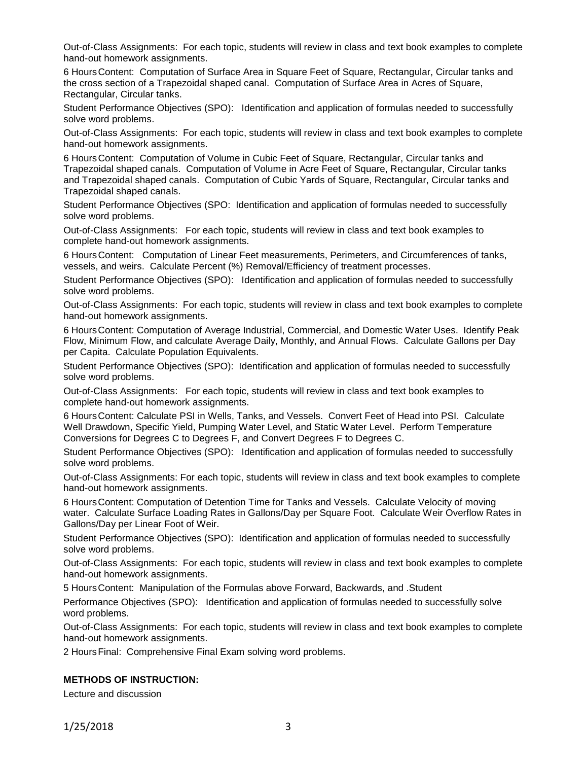Out-of-Class Assignments: For each topic, students will review in class and text book examples to complete hand-out homework assignments.

6 HoursContent: Computation of Surface Area in Square Feet of Square, Rectangular, Circular tanks and the cross section of a Trapezoidal shaped canal. Computation of Surface Area in Acres of Square, Rectangular, Circular tanks.

Student Performance Objectives (SPO): Identification and application of formulas needed to successfully solve word problems.

Out-of-Class Assignments: For each topic, students will review in class and text book examples to complete hand-out homework assignments.

6 HoursContent: Computation of Volume in Cubic Feet of Square, Rectangular, Circular tanks and Trapezoidal shaped canals. Computation of Volume in Acre Feet of Square, Rectangular, Circular tanks and Trapezoidal shaped canals. Computation of Cubic Yards of Square, Rectangular, Circular tanks and Trapezoidal shaped canals.

Student Performance Objectives (SPO: Identification and application of formulas needed to successfully solve word problems.

Out-of-Class Assignments: For each topic, students will review in class and text book examples to complete hand-out homework assignments.

6 HoursContent: Computation of Linear Feet measurements, Perimeters, and Circumferences of tanks, vessels, and weirs. Calculate Percent (%) Removal/Efficiency of treatment processes.

Student Performance Objectives (SPO): Identification and application of formulas needed to successfully solve word problems.

Out-of-Class Assignments: For each topic, students will review in class and text book examples to complete hand-out homework assignments.

6 HoursContent: Computation of Average Industrial, Commercial, and Domestic Water Uses. Identify Peak Flow, Minimum Flow, and calculate Average Daily, Monthly, and Annual Flows. Calculate Gallons per Day per Capita. Calculate Population Equivalents.

Student Performance Objectives (SPO): Identification and application of formulas needed to successfully solve word problems.

Out-of-Class Assignments: For each topic, students will review in class and text book examples to complete hand-out homework assignments.

6 HoursContent: Calculate PSI in Wells, Tanks, and Vessels. Convert Feet of Head into PSI. Calculate Well Drawdown, Specific Yield, Pumping Water Level, and Static Water Level. Perform Temperature Conversions for Degrees C to Degrees F, and Convert Degrees F to Degrees C.

Student Performance Objectives (SPO): Identification and application of formulas needed to successfully solve word problems.

Out-of-Class Assignments: For each topic, students will review in class and text book examples to complete hand-out homework assignments.

6 HoursContent: Computation of Detention Time for Tanks and Vessels. Calculate Velocity of moving water. Calculate Surface Loading Rates in Gallons/Day per Square Foot. Calculate Weir Overflow Rates in Gallons/Day per Linear Foot of Weir.

Student Performance Objectives (SPO): Identification and application of formulas needed to successfully solve word problems.

Out-of-Class Assignments: For each topic, students will review in class and text book examples to complete hand-out homework assignments.

5 HoursContent: Manipulation of the Formulas above Forward, Backwards, and .Student

Performance Objectives (SPO): Identification and application of formulas needed to successfully solve word problems.

Out-of-Class Assignments: For each topic, students will review in class and text book examples to complete hand-out homework assignments.

2 HoursFinal: Comprehensive Final Exam solving word problems.

#### **METHODS OF INSTRUCTION:**

Lecture and discussion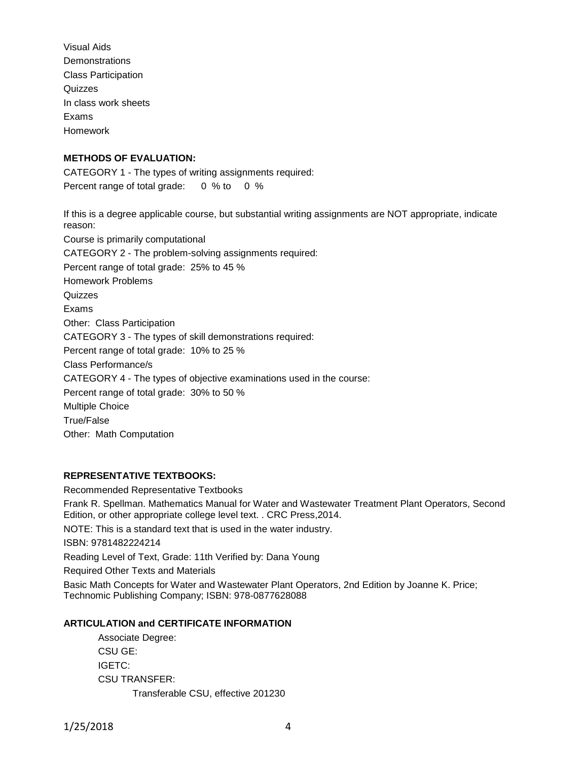Visual Aids **Demonstrations** Class Participation Quizzes In class work sheets Exams Homework

## **METHODS OF EVALUATION:**

CATEGORY 1 - The types of writing assignments required: Percent range of total grade: 0 % to 0 %

If this is a degree applicable course, but substantial writing assignments are NOT appropriate, indicate reason: Course is primarily computational CATEGORY 2 - The problem-solving assignments required: Percent range of total grade: 25% to 45 % Homework Problems **Quizzes** Exams Other: Class Participation CATEGORY 3 - The types of skill demonstrations required: Percent range of total grade: 10% to 25 % Class Performance/s CATEGORY 4 - The types of objective examinations used in the course: Percent range of total grade: 30% to 50 % Multiple Choice True/False Other: Math Computation

## **REPRESENTATIVE TEXTBOOKS:**

Recommended Representative Textbooks Frank R. Spellman. Mathematics Manual for Water and Wastewater Treatment Plant Operators, Second Edition, or other appropriate college level text. . CRC Press,2014. NOTE: This is a standard text that is used in the water industry. ISBN: 9781482224214 Reading Level of Text, Grade: 11th Verified by: Dana Young Required Other Texts and Materials Basic Math Concepts for Water and Wastewater Plant Operators, 2nd Edition by Joanne K. Price; Technomic Publishing Company; ISBN: 978-0877628088

## **ARTICULATION and CERTIFICATE INFORMATION**

Associate Degree: CSU GE: IGETC: CSU TRANSFER: Transferable CSU, effective 201230